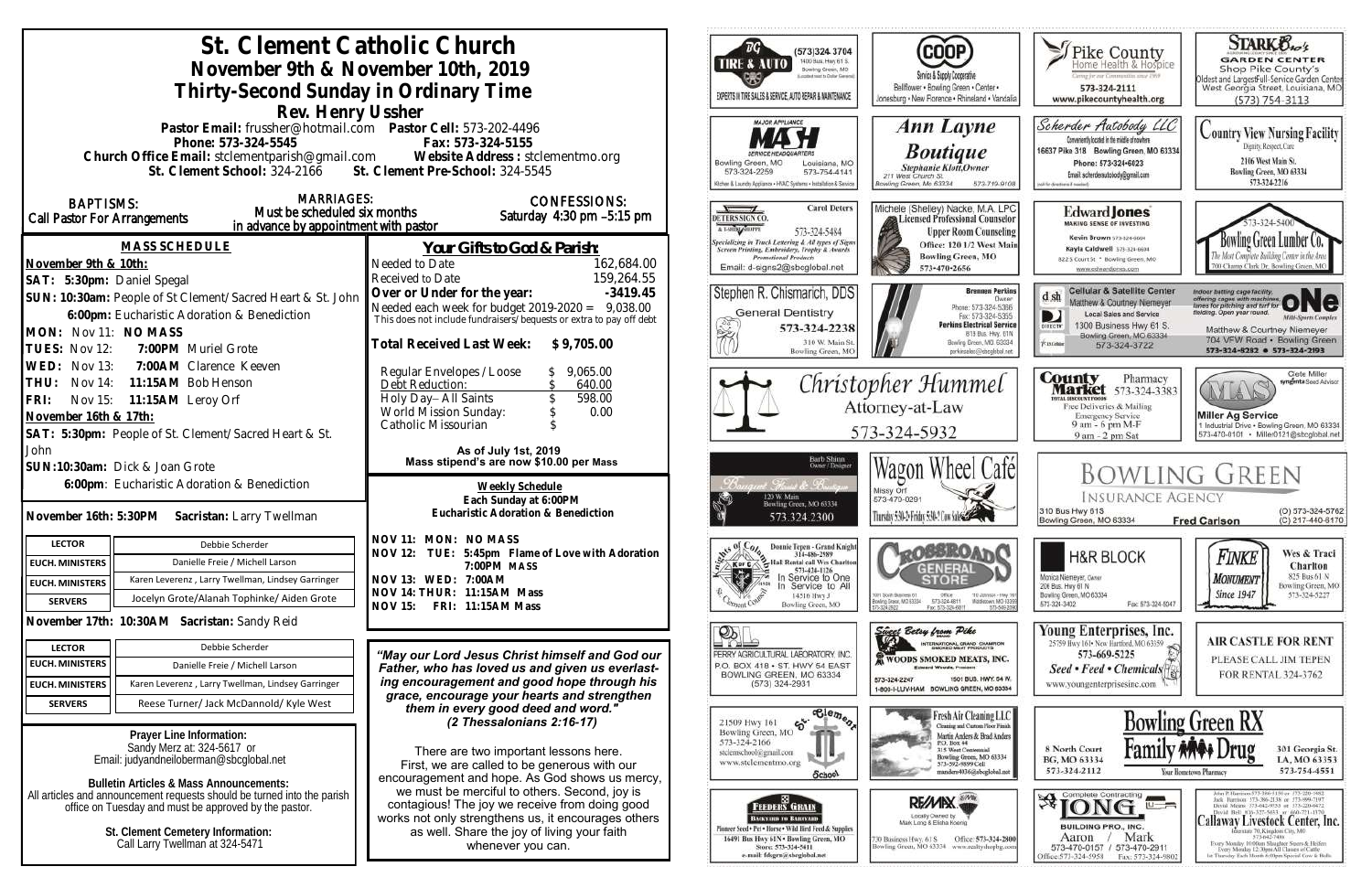| St. Clement Catholic Church<br>November 9th & November 10th, 2019<br>Thirty-Second Sunday in Ordinary Time<br>Rev. Henry Ussher                                                                                                                                                                                                                         |                                                                                                                                                         |                                                                                                                                                                                                                            | (573)324 3704<br>1400 Bus. Hwy 61 S.<br><b>TIRE &amp; AUTO</b><br>Bowling Green, MO<br>EXPERTS IN TIRE SALES & SERVICE, AUTO REPAIR & MAINTENANCE                                                                                     | <b>COOP</b><br>Service & Supply Cooperative<br>Bellflower . Bowling Green . Center .<br>Jonesburg . New Florence . Rhineland . Vandalia                                                                      | J Pike County<br>Iome Health & Hospice<br>wing for our Commonting away 1969<br>573-324-2111<br>www.pikecountyhealth.org                                                                                        | <b>STARK Bros</b><br><b>GARDEN CENTER</b><br>Shop Pike County's<br>Oldest and LargestFull-Service Garden Center<br>West Georgia Street, Louisiana, MO<br>$(573) 754 - 3113$                                                                                                                                                                                                                                                     |
|---------------------------------------------------------------------------------------------------------------------------------------------------------------------------------------------------------------------------------------------------------------------------------------------------------------------------------------------------------|---------------------------------------------------------------------------------------------------------------------------------------------------------|----------------------------------------------------------------------------------------------------------------------------------------------------------------------------------------------------------------------------|---------------------------------------------------------------------------------------------------------------------------------------------------------------------------------------------------------------------------------------|--------------------------------------------------------------------------------------------------------------------------------------------------------------------------------------------------------------|----------------------------------------------------------------------------------------------------------------------------------------------------------------------------------------------------------------|---------------------------------------------------------------------------------------------------------------------------------------------------------------------------------------------------------------------------------------------------------------------------------------------------------------------------------------------------------------------------------------------------------------------------------|
|                                                                                                                                                                                                                                                                                                                                                         | Pastor Email: frussher@hotmail.com    Pastor Cell: 573-202-4496<br>Phone: 573-324-5545<br>St. Clement School: 324-2166 St. Clement Pre-School: 324-5545 | Fax: 573-324-5155<br>Church Office Email: stclementparish@gmail.com Website Address : stclementmo.org                                                                                                                      | <b>MAJOR APPLIANCE</b><br>Bowling Green, MO<br>Louisiana, MO<br>573-324-2259<br>573-754-4141<br>Gchen & Laundry Applance . HVAC Systems . Installation & Service                                                                      | Ann Layne<br><b>Boutique</b><br><b>Stephanie Klott</b> , Owner<br>211 West Church St.<br>Bowling Green, Mo 63334<br>573-719-9108                                                                             | Scherder Autobody LLC<br>Conveniently located in the middle of nowhere<br>16637 Pike 318 Bowling Green, MO 63334<br>Phone: 573+324+6023<br>Email: scherderautobody@omail.com<br>call for directorys if needed. | <b>Country View Nursing Facility</b><br>Dignity, Respect, Care<br>2106 West Main St.<br>Bowling Green, MO 63334<br>573-324-2216                                                                                                                                                                                                                                                                                                 |
| <b>MARRIAGES:</b><br><b>BAPTISMS:</b><br>Must be scheduled six months<br>Call Pastor For Arrangements<br>in advance by appointment with pastor                                                                                                                                                                                                          |                                                                                                                                                         | <b>CONFESSIONS:</b><br>Saturday 4:30 pm -5:15 pm                                                                                                                                                                           | <b>Carol Deters</b><br>DETERS SIGN CO.<br>A LSHINLANOPPE<br>573-324-5484                                                                                                                                                              | Michele (Shelley) Nacke, M.A. LPC<br>Licensed Professional Counselor<br><b>Upper Room Counseling</b>                                                                                                         | <b>Edward Jones</b><br><b>MAKING SENSE OF INVESTING</b><br>Kevin Brown 573-124-6604                                                                                                                            | Bowling Green Lumber Co.                                                                                                                                                                                                                                                                                                                                                                                                        |
| November 9th & 10th:<br>SAT: 5:30pm: Daniel Spegal                                                                                                                                                                                                                                                                                                      | <b>MASS SCHEDULE</b>                                                                                                                                    | Your Gifts to God & Parish:<br>162,684.00<br>Needed to Date<br>159,264.55<br>Received to Date                                                                                                                              | <b>Specializing in Truck Lettering &amp; All types of Signs</b><br>Screen Printing, Embraidery, Trophy & Awards<br><b>Promotional Products</b><br>Email: d-signs2@sbcglobal.net                                                       | Office: 120 1/2 West Main<br><b>Bowling Green, MO</b><br>573-470-2656                                                                                                                                        | Kayla Caldwell 573-324-6604<br>822 S Court St * Bowling Green, MO<br>www.edwardjones.com                                                                                                                       | 700 Champ Clark Dr. Bowling Green.                                                                                                                                                                                                                                                                                                                                                                                              |
| SUN: 10:30am: People of St Clement/Sacred Heart & St. John<br>6:00pm: Eucharistic Adoration & Benediction<br>MON: Nov 11: NO MASS<br>7:00PM Muriel Grote<br>TUES: Nov 12:                                                                                                                                                                               |                                                                                                                                                         | Over or Under for the year:<br>$-3419.45$<br>Needed each week for budget $2019-2020 = 9,038.00$<br>This does not include fundraisers/bequests or extra to pay off debt<br>Total Received Last Week: \$9,705.00             | Stephen R. Chismarich, DDS<br><b>General Dentistry</b><br>¥<br>573-324-2238<br>310 W. Main St<br>Bowling Green, MC                                                                                                                    | <b>Brennen Perkins</b><br><b>Dwner</b><br>Phone: 573-324-5366<br>Fax: 573-324-5355<br><b>Perkins Electrical Service</b><br>819 Bus. Hwy. 61N<br>Bowling Green, MO. 63334<br>perkinseloc@shoulobal.net        | <b>Cellular &amp; Satellite Center</b><br>dsh<br>Matthew & Courtney Niemeyer<br>Local Sales and Service<br>1300 Business Hwy 61 S.<br>DIRECTY<br>Bowling Green, MO 63334<br>Fiatabar<br>573-324-3722           | Indoor betting cage facility<br>offering cages with machine<br>lelding. Open year round.<br><b>Milti-Sparts Complex</b><br>Matthew & Courtney Niemeyer<br>704 VFW Road · Bowling Green<br>573-324-8282 0 573-324-2193                                                                                                                                                                                                           |
| 7:00AM Clarence Keeven<br>WED: Nov 13:<br>11:15AM Bob Henson<br>THU:<br>Nov 14:<br>Nov 15: 11:15AM Leroy Orf<br>FRI:<br>November 16th & 17th:<br>SAT: 5:30pm: People of St. Clement/Sacred Heart & St.                                                                                                                                                  |                                                                                                                                                         | Regular Envelopes / Loose<br>9,065.00<br>640.00<br>Debt Reduction:<br>598.00<br>Holy Day-All Saints<br>World Mission Sunday:<br>0.00<br>Catholic Missourian<br>As of July 1st, 2019                                        |                                                                                                                                                                                                                                       | Christopher Hummel<br>Attorney-at-Law<br>573-324-5932                                                                                                                                                        | <b>County</b> Pharmacy<br><b>Market</b> 573-324-3383<br><b>BYFAL DISCOUNT PRODS</b><br>Free Deliveries & Mailing<br><b>Emergency Service</b><br>9 am - 6 pm M-F<br>9 am - 2 pm Sat                             | Clete Miller<br>syngenta Seed Adviso<br><b>Miller Ag Service</b><br>1 Industrial Drive . Bowling Green, MO 63334.<br>573-470-0101 • Miller0121@sbcglobal.net                                                                                                                                                                                                                                                                    |
| John<br>SUN:10:30am: Dick & Joan Grote<br>6:00pm: Eucharistic Adoration & Benediction<br>November 16th: 5:30PM Sacristan: Larry Twellman                                                                                                                                                                                                                |                                                                                                                                                         | Mass stipend's are now \$10.00 per Mass<br>Weekly Schedule<br>Each Sunday at 6:00PM<br>Eucharistic Adoration & Benediction                                                                                                 | Barb Shinn<br>Owner/Designer<br>ot. Finalet & Routis<br>120 W. Main<br>Bowling Green, MO 63334<br>573.324.2300                                                                                                                        | Wagon Wheel Café<br>Missy Orf<br>573-470-0291<br>Thursday 5:30-2: Friday 5:30-2 Cow Sales                                                                                                                    | <b>INSURANCE AGENCY</b><br>310 Bus Hwy 61S<br>Bowling Green, MO 63334                                                                                                                                          | <b>BOWLING GREEN</b><br>(O) 573-324-5762<br>(C) 217-440-6170<br><b>Fred Carlson</b>                                                                                                                                                                                                                                                                                                                                             |
| <b>LECTOR</b>                                                                                                                                                                                                                                                                                                                                           | Debbie Scherder                                                                                                                                         | NOV 11: MON: NO MASS                                                                                                                                                                                                       |                                                                                                                                                                                                                                       |                                                                                                                                                                                                              |                                                                                                                                                                                                                |                                                                                                                                                                                                                                                                                                                                                                                                                                 |
| <b>EUCH. MINISTERS</b>                                                                                                                                                                                                                                                                                                                                  | Danielle Freie / Michell Larson                                                                                                                         | NOV 12: TUE: 5:45pm Flame of Love with Adoration                                                                                                                                                                           | Donnie Tepen - Grand Knight<br>314-486-2989<br><sup>2</sup> Hall Rental call Wes Chariton<br>Ker C/                                                                                                                                   |                                                                                                                                                                                                              | <b>H&amp;R BLOCK</b>                                                                                                                                                                                           | Wes & Traci<br>Finke<br>Charlton                                                                                                                                                                                                                                                                                                                                                                                                |
| <b>EUCH. MINISTERS</b>                                                                                                                                                                                                                                                                                                                                  | Karen Leverenz, Larry Twellman, Lindsey Garringer                                                                                                       | 7:00PM MASS<br>NOV 13: WED: 7:00AM                                                                                                                                                                                         | 573-424-1126<br>l⊹r<br>Service to One                                                                                                                                                                                                 |                                                                                                                                                                                                              | Monica Niemeyer, Owner                                                                                                                                                                                         | 825 Bus 61 N<br><b>MONUMENT</b>                                                                                                                                                                                                                                                                                                                                                                                                 |
| <b>SERVERS</b>                                                                                                                                                                                                                                                                                                                                          | Jocelyn Grote/Alanah Tophinke/ Aiden Grote                                                                                                              | NOV 14: THUR: 11:15AM Mass                                                                                                                                                                                                 | Service to All<br>14516 Hwy J<br>Bowling Green, MO                                                                                                                                                                                    | 1001 South Business 61<br>Ofice :<br>110 Johnson - Hwy 9<br>573-324-6811<br>Middietown, MO-6339<br>Bowling Grass, MD 63334                                                                                   | 206 Bus. Hwy 61 N<br>Bowling Green, MO 63334<br>Fax: 573-324-5047<br>573-324-3402                                                                                                                              | Bowling Green, MO<br><b>Since 1947</b><br>573-324-5227                                                                                                                                                                                                                                                                                                                                                                          |
|                                                                                                                                                                                                                                                                                                                                                         | November 17th: 10:30AM Sacristan: Sandy Reid                                                                                                            | FRI: 11:15AM Mass<br>NOV 15:                                                                                                                                                                                               |                                                                                                                                                                                                                                       | Fax: 575-324-6811<br>573-549-209                                                                                                                                                                             | Young Enterprises, Inc.                                                                                                                                                                                        |                                                                                                                                                                                                                                                                                                                                                                                                                                 |
| <b>LECTOR</b>                                                                                                                                                                                                                                                                                                                                           | Debbie Scherder                                                                                                                                         |                                                                                                                                                                                                                            | $\mathbb{P}$                                                                                                                                                                                                                          | Sincer Betsy from Pike<br>INTERNATIONAL GRAND CHAMPION                                                                                                                                                       | 25759 Hwy 161 . New Hartford, MO 63359                                                                                                                                                                         | <b>AIR CASTLE FOR RENT</b>                                                                                                                                                                                                                                                                                                                                                                                                      |
| <b>EUCH. MINISTERS</b>                                                                                                                                                                                                                                                                                                                                  | Danielle Freie / Michell Larson                                                                                                                         | "May our Lord Jesus Christ himself and God our<br>Father, who has loved us and given us everlast-                                                                                                                          | PERRY AGRICULTURAL LABORATORY, INC.<br>P.O. BOX 418 . ST. HWY 54 EAST                                                                                                                                                                 | WOODS SMOKED MEATS, INC.<br><b>Edward Woods</b> , President                                                                                                                                                  | 573-669-5225<br>Seed • Feed • Chemicals <sup>[4]</sup>                                                                                                                                                         | PLEASE CALL JIM TEPEN                                                                                                                                                                                                                                                                                                                                                                                                           |
| <b>EUCH. MINISTERS</b>                                                                                                                                                                                                                                                                                                                                  | Karen Leverenz, Larry Twellman, Lindsey Garringer                                                                                                       | ing encouragement and good hope through his                                                                                                                                                                                | BOWLING GREEN, MO 63334<br>$(573)$ 324-2931                                                                                                                                                                                           | 1501 BUS, HWY, 54 W.<br>573-324-2247<br>1-800-I-LUV-HAM BOWLING GREEN, MO 63334                                                                                                                              | www.youngenterprisesinc.com                                                                                                                                                                                    | FOR RENTAL 324-3762                                                                                                                                                                                                                                                                                                                                                                                                             |
| <b>SERVERS</b>                                                                                                                                                                                                                                                                                                                                          | Reese Turner/ Jack McDannold/ Kyle West                                                                                                                 | grace, encourage your hearts and strengthen<br>them in every good deed and word."                                                                                                                                          |                                                                                                                                                                                                                                       |                                                                                                                                                                                                              |                                                                                                                                                                                                                |                                                                                                                                                                                                                                                                                                                                                                                                                                 |
| Prayer Line Information:<br>Sandy Merz at: 324-5617 or<br>Email: judyandneiloberman@sbcglobal.net<br>Bulletin Articles & Mass Announcements:<br>All articles and announcement requests should be turned into the parish<br>office on Tuesday and must be approved by the pastor<br>St. Clement Cemetery Information:<br>Call Larry Twellman at 324-5471 |                                                                                                                                                         | (2 Thessalonians 2:16-17)<br>There are two important lessons here.<br>First, we are called to be generous with our<br>encouragement and hope. As God shows us mercy,                                                       | $\overline{\text{e}^{\text{le}}_{\text{e}}\text{e}_{\text{in}}e_{\text{in}}}}$<br>21509 Hwy 161<br>$\mathfrak{G}^{\mathbf{c}}$<br>Bowling Green, MO<br>573-324-2166<br>stelemschool@gmail.com<br>www.stclementmo.org<br><b>School</b> | Fresh Air Cleaning LLC<br>Cleaning and Custom Floor Finish<br>Martin Anders & Brad Anders<br>P.O. Box 44<br>315 West Centennial<br>Bowling Green, MO 63334<br>573-592-9899 Cell<br>manders4036@sbcglobal.net | 8 North Court<br>BG, MO 63334<br>573-324-2112                                                                                                                                                                  | <b>Bowling Green RX</b><br>301 Georgia St.<br>LA, MO 63353<br>573-754-4551<br>Your Hometown Pharmacy                                                                                                                                                                                                                                                                                                                            |
|                                                                                                                                                                                                                                                                                                                                                         |                                                                                                                                                         | we must be merciful to others. Second, joy is<br>contagious! The joy we receive from doing good<br>works not only strengthens us, it encourages others<br>as well. Share the joy of living your faith<br>whenever you can. | - 83 L<br>FEEDERS GRAIN<br><b>BACKYARD TO BARNVARD</b><br>Finneer Seed + Pet . Horse . Wild Bird Feed & Supplies<br>16491 Bus Hwy 61N . Bowling Green, MO<br>Store: 573-324-5411<br>e-mail: fdsgrn@sbcglobal.net                      | RE/MIX<br>Locally Owned by<br>Mark Long & Elisha Koenig<br>Office: 573-324-2800<br>730 Business Hwy. 61 S<br>Bowfing Green, MO 63334 www.realtyshopbg.com                                                    | Complete Contracting<br>$\mathbb{R}$ TONG<br>$\overline{u}$ $\rightarrow$<br><b>BUILDING PRO., INC.</b><br>Mark<br>Aaron<br>573-470-0157 / 573-470-2911<br>Office: 573-324-5958<br>Fax: 573-324-980            | John P. Harrison 573-386-5150 or 573-220-1482<br>Jack Harrison 573-386-2138 or 573-999-7197<br>David Means 573-642-9753 at 573-220-0472<br>David Bell 816-527-5633 or 660-721-1370<br>Callaway Livestock Center, Inc.<br>ratato 70, Kingdoni City, MO-<br>573-642-7486<br>Every Monitay. 10:00am Shughter Steers & Heifert<br>Every Membry 12:30pm All Classes of Cattle<br>Let Thursday Each Month 6:00pm Special Cow & Bulls. |